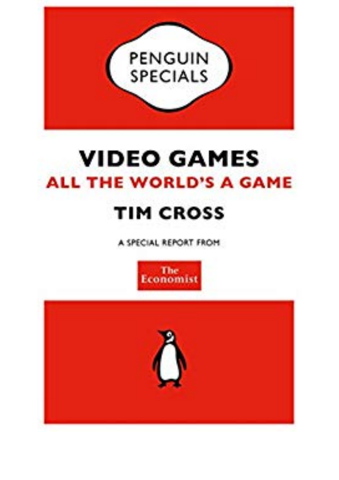

## **VIDEO GAMES ALL THE WORLD'S A GAME TIM CROSS**

A SPECIAL REPORT FROM



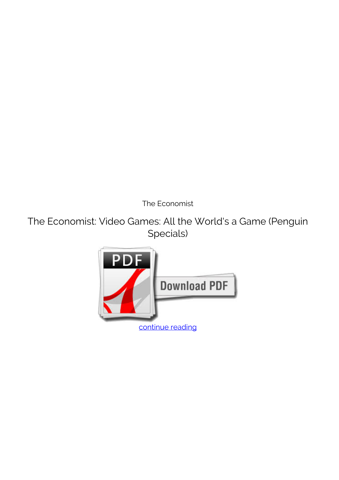*The Economist*

**The Economist: Video Games: All the World's a Game (Penguin Specials)**

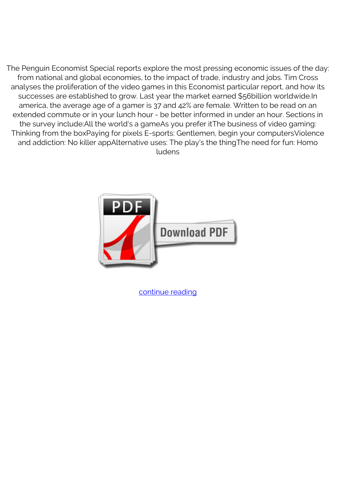The Penguin Economist Special reports explore the most pressing economic issues of the day: from national and global economies, to the impact of trade, industry and jobs. Tim Cross analyses the proliferation of the video games in this Economist particular report, and how its successes are established to grow. Last year the market earned \$56billion worldwide.In america, the average age of a gamer is 37 and 42% are female. Written to be read on an extended commute or in your lunch hour - be better informed in under an hour. Sections in the survey include:All the world's a gameAs you prefer itThe business of video gaming: Thinking from the boxPaying for pixels E-sports: Gentlemen, begin your computersViolence and addiction: No killer appAlternative uses: The play's the thingThe need for fun: Homo ludens



[continue reading](http://bit.ly/2Tge8Fv)